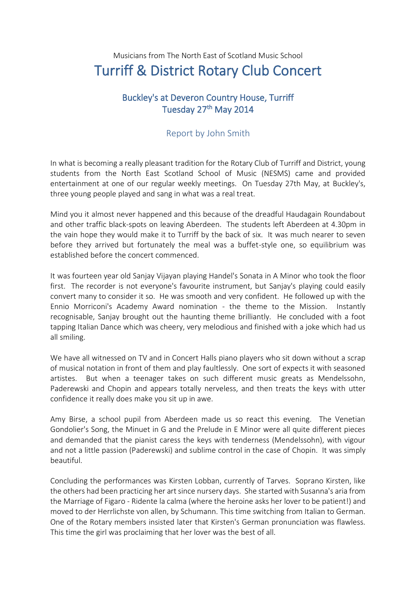## Musicians from The North East of Scotland Music School Turriff & District Rotary Club Concert

## Buckley's at Deveron Country House, Turriff Tuesday 27<sup>th</sup> May 2014

## Report by John Smith

In what is becoming a really pleasant tradition for the Rotary Club of Turriff and District, young students from the North East Scotland School of Music (NESMS) came and provided entertainment at one of our regular weekly meetings. On Tuesday 27th May, at Buckley's, three young people played and sang in what was a real treat.

Mind you it almost never happened and this because of the dreadful Haudagain Roundabout and other traffic black-spots on leaving Aberdeen. The students left Aberdeen at 4.30pm in the vain hope they would make it to Turriff by the back of six. It was much nearer to seven before they arrived but fortunately the meal was a buffet-style one, so equilibrium was established before the concert commenced.

It was fourteen year old Sanjay Vijayan playing Handel's Sonata in A Minor who took the floor first. The recorder is not everyone's favourite instrument, but Sanjay's playing could easily convert many to consider it so. He was smooth and very confident. He followed up with the Ennio Morriconi's Academy Award nomination - the theme to the Mission. Instantly recognisable, Sanjay brought out the haunting theme brilliantly. He concluded with a foot tapping Italian Dance which was cheery, very melodious and finished with a joke which had us all smiling.

We have all witnessed on TV and in Concert Halls piano players who sit down without a scrap of musical notation in front of them and play faultlessly. One sort of expects it with seasoned artistes. But when a teenager takes on such different music greats as Mendelssohn, Paderewski and Chopin and appears totally nerveless, and then treats the keys with utter confidence it really does make you sit up in awe.

Amy Birse, a school pupil from Aberdeen made us so react this evening. The Venetian Gondolier's Song, the Minuet in G and the Prelude in E Minor were all quite different pieces and demanded that the pianist caress the keys with tenderness (Mendelssohn), with vigour and not a little passion (Paderewski) and sublime control in the case of Chopin. It was simply beautiful.

Concluding the performances was Kirsten Lobban, currently of Tarves. Soprano Kirsten, like the others had been practicing her art since nursery days. She started with Susanna's aria from the Marriage of Figaro - Ridente la calma (where the heroine asks her lover to be patient!) and moved to der Herrlichste von allen, by Schumann. This time switching from Italian to German. One of the Rotary members insisted later that Kirsten's German pronunciation was flawless. This time the girl was proclaiming that her lover was the best of all.